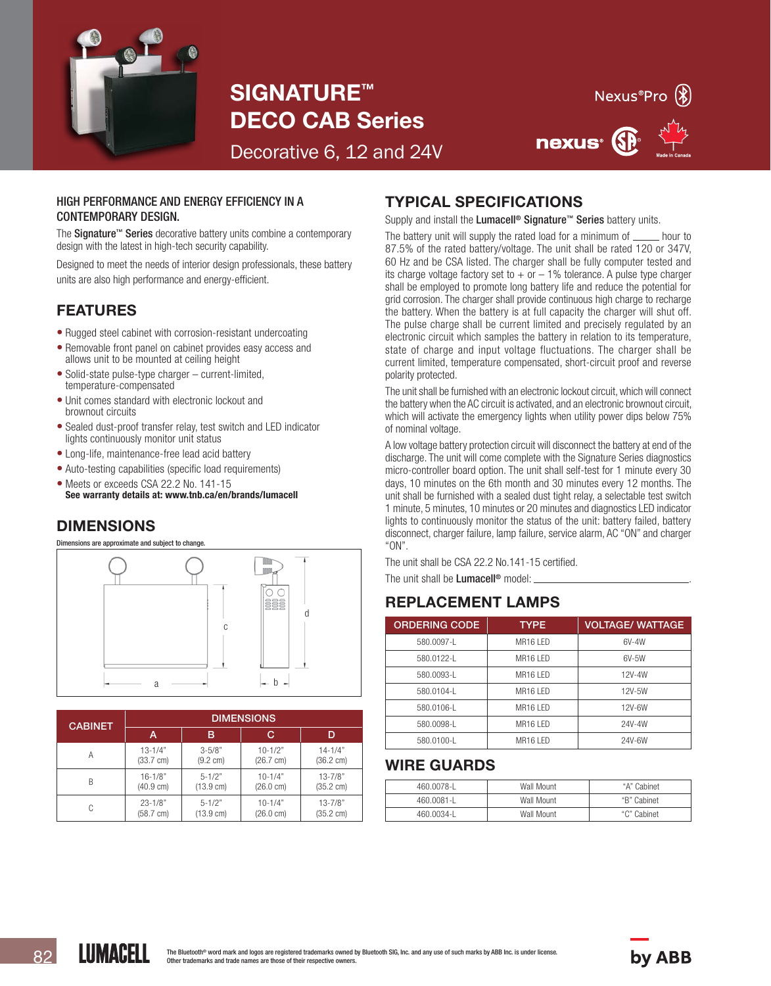

SIGNATURE™ DECO CAB Series



Decorative 6, 12 and 24V

#### HIGH PERFORMANCE AND ENERGY EFFICIENCY IN A CONTEMPORARY DESIGN.

The **Signature™ Series** decorative battery units combine a contemporary design with the latest in high-tech security capability.

Designed to meet the needs of interior design professionals, these battery units are also high performance and energy-efficient.

# FEATURES

- Rugged steel cabinet with corrosion-resistant undercoating
- Removable front panel on cabinet provides easy access and allows unit to be mounted at ceiling height
- Solid-state pulse-type charger current-limited, temperature-compensated
- Unit comes standard with electronic lockout and brownout circuits
- Sealed dust-proof transfer relay, test switch and LED indicator lights continuously monitor unit status
- Long-life, maintenance-free lead acid battery
- Auto-testing capabilities (specific load requirements)
- Meets or exceeds CSA 22.2 No. 141-15 See warranty details at: www.tnb.ca/en/brands/lumacell

# DIMENSIONS

Dimensions are approximate and subject to change.



| <b>CABINET</b> | <b>DIMENSIONS</b>   |                     |                     |                     |  |  |
|----------------|---------------------|---------------------|---------------------|---------------------|--|--|
|                | А                   | в                   | С                   |                     |  |  |
| Α              | $13 - 1/4"$         | $3 - 5/8"$          | $10 - 1/2"$         | $14 - 1/4"$         |  |  |
|                | $(33.7 \text{ cm})$ | $(9.2 \text{ cm})$  | $(26.7 \text{ cm})$ | $(36.2 \text{ cm})$ |  |  |
| B              | $16 - 1/8"$         | $5 - 1/2"$          | $10 - 1/4"$         | $13 - 7/8"$         |  |  |
|                | $(40.9 \text{ cm})$ | $(13.9 \text{ cm})$ | $(26.0 \text{ cm})$ | $(35.2 \text{ cm})$ |  |  |
| C              | $23 - 1/8"$         | $5 - 1/2"$          | $10 - 1/4"$         | $13 - 7/8"$         |  |  |
|                | $(58.7 \text{ cm})$ | $(13.9 \text{ cm})$ | $(26.0 \text{ cm})$ | $(35.2 \text{ cm})$ |  |  |

# TYPICAL SPECIFICATIONS

Supply and install the Lumacell<sup>®</sup> Signature<sup>™</sup> Series battery units.

The battery unit will supply the rated load for a minimum of  $\frac{1}{\pi}$  hour to 87.5% of the rated battery/voltage. The unit shall be rated 120 or 347V, 60 Hz and be CSA listed. The charger shall be fully computer tested and its charge voltage factory set to  $+$  or  $-$  1% tolerance. A pulse type charger shall be employed to promote long battery life and reduce the potential for grid corrosion. The charger shall provide continuous high charge to recharge the battery. When the battery is at full capacity the charger will shut off. The pulse charge shall be current limited and precisely regulated by an electronic circuit which samples the battery in relation to its temperature, state of charge and input voltage fluctuations. The charger shall be current limited, temperature compensated, short-circuit proof and reverse polarity protected.

The unit shall be furnished with an electronic lockout circuit, which will connect the battery when the AC circuit is activated, and an electronic brownout circuit, which will activate the emergency lights when utility power dips below 75% of nominal voltage.

A low voltage battery protection circuit will disconnect the battery at end of the discharge. The unit will come complete with the Signature Series diagnostics micro-controller board option. The unit shall self-test for 1 minute every 30 days, 10 minutes on the 6th month and 30 minutes every 12 months. The unit shall be furnished with a sealed dust tight relay, a selectable test switch 1 minute, 5 minutes, 10 minutes or 20 minutes and diagnostics LED indicator lights to continuously monitor the status of the unit: battery failed, battery disconnect, charger failure, lamp failure, service alarm, AC "ON" and charger "ON".

The unit shall be CSA 22.2 No.141-15 certified. The unit shall be Lumacell<sup>®</sup> model:

# REPLACEMENT LAMPS

| <b>ORDERING CODE</b> | <b>TYPE</b>          | <b>VOLTAGE/WATTAGE</b> |
|----------------------|----------------------|------------------------|
| 580.0097-L           | MR <sub>16</sub> IFD | 6V-4W                  |
| 580.0122-1           | MR <sub>16</sub> IFD | $6V-5W$                |
| 580.0093-1           | MR <sub>16</sub> IFD | 12V-4W                 |
| 580.0104-L           | MR <sub>16</sub> IFD | 12V-5W                 |
| 580.0106-L           | MR16 I FD            | 12V-6W                 |
| 580.0098-L           | MR <sub>16</sub> IFD | 24V-4W                 |
| 580.0100-L           | MR <sub>16</sub> IFD | 24V-6W                 |

# WIRE GUARDS

| 460.0078-L | Wall Mount | "A" Cabinet |
|------------|------------|-------------|
| 460.0081-L | Wall Mount | "B" Cabinet |
| 460.0034-L | Wall Mount | "C" Cabinet |